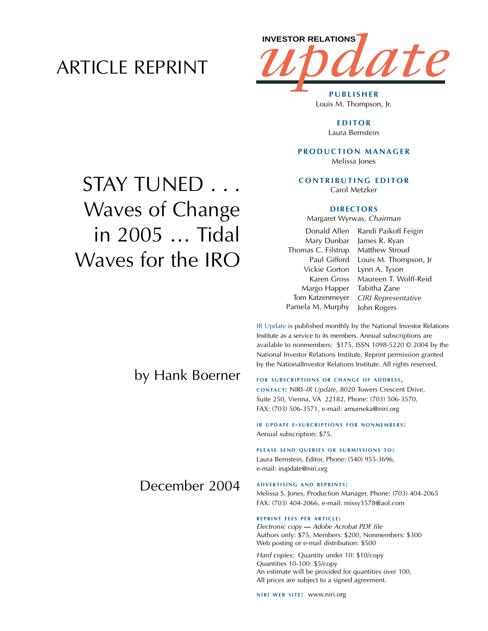# ARTICLE REPRINT



Louis M. Thompson, Jr.

**EDITOR** Laura Bernstein

**PRODUCTION MANAGER** Melissa Jones

**CONTRIBUTING EDITOR** Carol Metzker

#### **DIRECTORS**

Margaret Wyrwas, *Chairman*

Mary Dunbar Thomas C. Filstrup Vickie Gorton Karen Gross Margo Happer Tom Katzenmeyer Pamela M. Murphy

Donald Allen Randi Paikoff Feigin Paul Gifford Louis M. Thompson, Jr James R. Ryan Matthew Stroud Lynn A. Tyson Maureen T. Wolff-Reid Tabitha Zane *CIRI Representative* John Rogers

IR Update is published monthly by the National Investor Relations Institute as a service to its members. Annual subscriptions are available to nonmembers: \$175. ISSN 1098-5220 © 2004 by the National Investor Relations Institute. Reprint permission granted by the NationalInvestor Relations Institute. All rights reserved.

#### **FOR SUBSCRIPTIONS OR CHANGE OF ADDRESS,**

**CONTACT:** NIRI–*IR Update*, 8020 Towers Crescent Drive, Suite 250, Vienna, VA 22182, Phone: (703) 506-3570, FAX: (703) 506-3571, e-mail: amumeka@niri.org

**IR UPDATE E - SUBCRIPTIONS FOR NONMEMBERS :** Annual subscription: \$75.

#### **PLEASE SEND QUERIES OR SUBMISSIONS TO:**

Laura Bernstein, Editor, Phone: (540) 955-3696, e-mail: irupdate@niri.org

## December 2004

by Hank Boerner

**ADVERTISING AND REPRINTS :** Melissa S. Jones, Production Manager, Phone: (703) 404-2065 FAX: (703) 404-2066, e-mail: missy3578@aol.com

#### **REPRINT FEES PER ARTICLE :**

*Electronic copy* **—** *Adobe Acrobat PDF file*  Authors only: \$75, Members: \$200, Nonmembers: \$300 Web posting or e-mail distribution: \$500

*Hard copies:* Quantity under 10: \$10/copy Quantities 10-100: \$5/copy An estimate will be provided for quantities over 100. All prices are subject to a signed agreement.

**NIRI WEB SITE: WWW.niri.org** 

# STAY TUNED . . . Waves of Change in 2005 … Tidal Waves for the IRO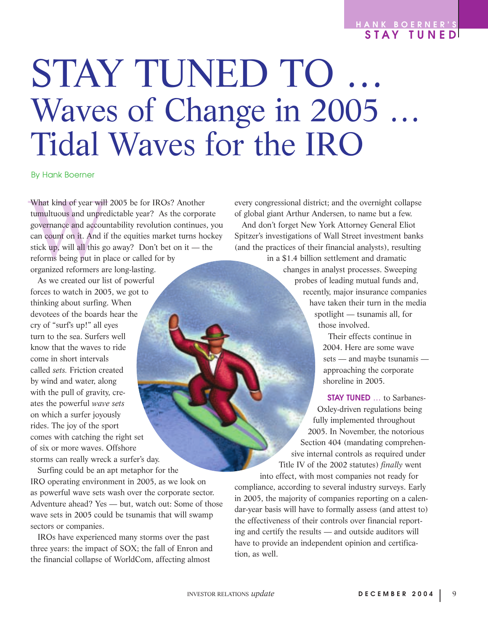### **HANK BOERNER ' S STAY TUNED**

# STAY TUNED TO … Waves of Change in 2005 … Tidal Waves for the IRO

By Hank Boerner

What kind of year will 2005 be for IROs? Another<br>tumultuous and unpredictable year? As the corpor<br>governance and accountability revolution continues<br>can count on it. And if the equities market turns ho<br>stick up, will all t tumultuous and unpredictable year? As the corporate governance and accountability revolution continues, you can count on it. And if the equities market turns hockey stick up, will all this go away? Don't bet on it — the reforms being put in place or called for by organized reformers are long-lasting.

As we created our list of powerful forces to watch in 2005, we got to thinking about surfing. When devotees of the boards hear the cry of "surf's up!" all eyes turn to the sea. Surfers well know that the waves to ride come in short intervals called *sets.* Friction created by wind and water, along with the pull of gravity, creates the powerful *wave sets* on which a surfer joyously rides. The joy of the sport comes with catching the right set of six or more waves. Offshore storms can really wreck a surfer's day.

Surfing could be an apt metaphor for the IRO operating environment in 2005, as we look on as powerful wave sets wash over the corporate sector. Adventure ahead? Yes — but, watch out: Some of those wave sets in 2005 could be tsunamis that will swamp sectors or companies.

IROs have experienced many storms over the past three years: the impact of SOX; the fall of Enron and the financial collapse of WorldCom, affecting almost

every congressional district; and the overnight collapse of global giant Arthur Andersen, to name but a few.

And don't forget New York Attorney General Eliot Spitzer's investigations of Wall Street investment banks (and the practices of their financial analysts), resulting

in a \$1.4 billion settlement and dramatic changes in analyst processes. Sweeping probes of leading mutual funds and, recently, major insurance companies have taken their turn in the media spotlight — tsunamis all, for those involved.

> Their effects continue in 2004. Here are some wave sets — and maybe tsunamis approaching the corporate shoreline in 2005.

**STAY TUNED** … to Sarbanes-Oxley-driven regulations being fully implemented throughout 2005. In November, the notorious Section 404 (mandating comprehensive internal controls as required under Title IV of the 2002 statutes) *finally* went into effect, with most companies not ready for

compliance, according to several industry surveys. Early in 2005, the majority of companies reporting on a calendar-year basis will have to formally assess (and attest to) the effectiveness of their controls over financial reporting and certify the results — and outside auditors will have to provide an independent opinion and certification, as well.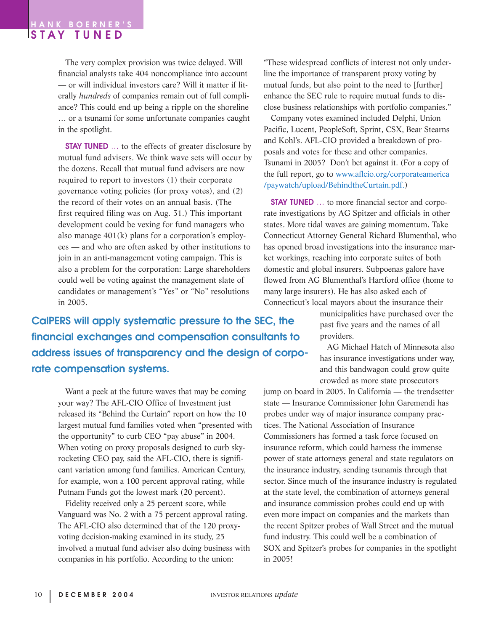The very complex provision was twice delayed. Will financial analysts take 404 noncompliance into account — or will individual investors care? Will it matter if literally *hundreds* of companies remain out of full compliance? This could end up being a ripple on the shoreline … or a tsunami for some unfortunate companies caught in the spotlight.

**STAY TUNED** ... to the effects of greater disclosure by mutual fund advisers. We think wave sets will occur by the dozens. Recall that mutual fund advisers are now required to report to investors (1) their corporate governance voting policies (for proxy votes), and (2) the record of their votes on an annual basis. (The first required filing was on Aug. 31.) This important development could be vexing for fund managers who also manage 401(k) plans for a corporation's employees — and who are often asked by other institutions to join in an anti-management voting campaign. This is also a problem for the corporation: Large shareholders could well be voting against the management slate of candidates or management's "Yes" or "No" resolutions in 2005.

**CalPERS will apply systematic pressure to the SEC, the financial exchanges and compensation consultants to address issues of transparency and the design of corporate compensation systems.** 

Want a peek at the future waves that may be coming your way? The AFL-CIO Office of Investment just released its "Behind the Curtain" report on how the 10 largest mutual fund families voted when "presented with the opportunity" to curb CEO "pay abuse" in 2004. When voting on proxy proposals designed to curb skyrocketing CEO pay, said the AFL-CIO, there is significant variation among fund families. American Century, for example, won a 100 percent approval rating, while Putnam Funds got the lowest mark (20 percent).

Fidelity received only a 25 percent score, while Vanguard was No. 2 with a 75 percent approval rating. The AFL-CIO also determined that of the 120 proxyvoting decision-making examined in its study, 25 involved a mutual fund adviser also doing business with companies in his portfolio. According to the union:

"These widespread conflicts of interest not only underline the importance of transparent proxy voting by mutual funds, but also point to the need to [further] enhance the SEC rule to require mutual funds to disclose business relationships with portfolio companies."

Company votes examined included Delphi, Union Pacific, Lucent, PeopleSoft, Sprint, CSX, Bear Stearns and Kohl's. AFL-CIO provided a breakdown of proposals and votes for these and other companies. Tsunami in 2005? Don't bet against it. (For a copy of the full report, go to www.aflcio.org/corporateamerica /paywatch/upload/BehindtheCurtain.pdf.)

**STAY TUNED** … to more financial sector and corporate investigations by AG Spitzer and officials in other states. More tidal waves are gaining momentum. Take Connecticut Attorney General Richard Blumenthal, who has opened broad investigations into the insurance market workings, reaching into corporate suites of both domestic and global insurers. Subpoenas galore have flowed from AG Blumenthal's Hartford office (home to many large insurers). He has also asked each of Connecticut's local mayors about the insurance their

> municipalities have purchased over the past five years and the names of all providers.

> AG Michael Hatch of Minnesota also has insurance investigations under way, and this bandwagon could grow quite crowded as more state prosecutors

jump on board in 2005. In California — the trendsetter state — Insurance Commissioner John Garemendi has probes under way of major insurance company practices. The National Association of Insurance Commissioners has formed a task force focused on insurance reform, which could harness the immense power of state attorneys general and state regulators on the insurance industry, sending tsunamis through that sector. Since much of the insurance industry is regulated at the state level, the combination of attorneys general and insurance commission probes could end up with even more impact on companies and the markets than the recent Spitzer probes of Wall Street and the mutual fund industry. This could well be a combination of SOX and Spitzer's probes for companies in the spotlight in 2005!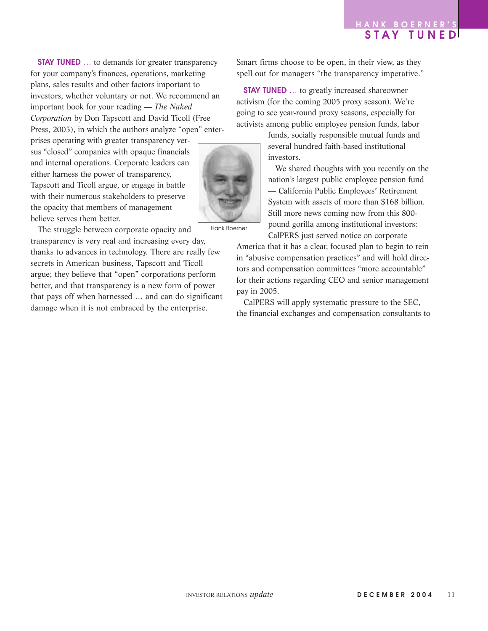**STAY TUNED** ... to demands for greater transparency for your company's finances, operations, marketing plans, sales results and other factors important to investors, whether voluntary or not. We recommend an important book for your reading — *The Naked Corporation* by Don Tapscott and David Ticoll (Free Press, 2003), in which the authors analyze "open" enter-

prises operating with greater transparency versus "closed" companies with opaque financials and internal operations. Corporate leaders can either harness the power of transparency, Tapscott and Ticoll argue, or engage in battle with their numerous stakeholders to preserve the opacity that members of management believe serves them better.

The struggle between corporate opacity and transparency is very real and increasing every day, thanks to advances in technology. There are really few secrets in American business, Tapscott and Ticoll argue; they believe that "open" corporations perform better, and that transparency is a new form of power that pays off when harnessed … and can do significant damage when it is not embraced by the enterprise.

Smart firms choose to be open, in their view, as they spell out for managers "the transparency imperative."

**STAY TUNED** … to greatly increased shareowner activism (for the coming 2005 proxy season). We're going to see year-round proxy seasons, especially for activists among public employee pension funds, labor

> funds, socially responsible mutual funds and several hundred faith-based institutional investors.

We shared thoughts with you recently on the nation's largest public employee pension fund — California Public Employees' Retirement System with assets of more than \$168 billion. Still more news coming now from this 800 pound gorilla among institutional investors: CalPERS just served notice on corporate

America that it has a clear, focused plan to begin to rein in "abusive compensation practices" and will hold directors and compensation committees "more accountable" for their actions regarding CEO and senior management pay in 2005.

CalPERS will apply systematic pressure to the SEC, the financial exchanges and compensation consultants to